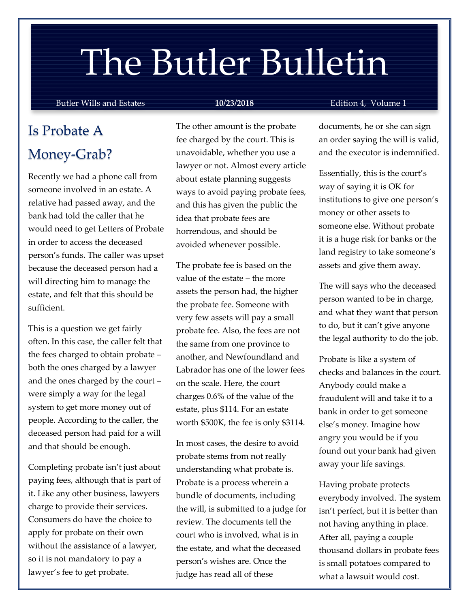# The Butler Bulletin

#### Butler Wills and Estates **10/23/2018** Edition 4, Volume 1

# Is Probate A Money-Grab?

Recently we had a phone call from someone involved in an estate. A relative had passed away, and the bank had told the caller that he would need to get Letters of Probate in order to access the deceased person's funds. The caller was upset because the deceased person had a will directing him to manage the estate, and felt that this should be sufficient.

This is a question we get fairly often. In this case, the caller felt that the fees charged to obtain probate – both the ones charged by a lawyer and the ones charged by the court – were simply a way for the legal system to get more money out of people. According to the caller, the deceased person had paid for a will and that should be enough.

Completing probate isn't just about paying fees, although that is part of it. Like any other business, lawyers charge to provide their services. Consumers do have the choice to apply for probate on their own without the assistance of a lawyer, so it is not mandatory to pay a lawyer's fee to get probate.

The other amount is the probate fee charged by the court. This is unavoidable, whether you use a lawyer or not. Almost every article about estate planning suggests ways to avoid paying probate fees, and this has given the public the idea that probate fees are horrendous, and should be avoided whenever possible.

The probate fee is based on the value of the estate – the more assets the person had, the higher the probate fee. Someone with very few assets will pay a small probate fee. Also, the fees are not the same from one province to another, and Newfoundland and Labrador has one of the lower fees on the scale. Here, the court charges 0.6% of the value of the estate, plus \$114. For an estate worth \$500K, the fee is only \$3114.

In most cases, the desire to avoid probate stems from not really understanding what probate is. Probate is a process wherein a bundle of documents, including the will, is submitted to a judge for review. The documents tell the court who is involved, what is in the estate, and what the deceased person's wishes are. Once the judge has read all of these

documents, he or she can sign an order saying the will is valid, and the executor is indemnified.

Essentially, this is the court's way of saying it is OK for institutions to give one person's money or other assets to someone else. Without probate it is a huge risk for banks or the land registry to take someone's assets and give them away.

The will says who the deceased person wanted to be in charge, and what they want that person to do, but it can't give anyone the legal authority to do the job.

Probate is like a system of checks and balances in the court. Anybody could make a fraudulent will and take it to a bank in order to get someone else's money. Imagine how angry you would be if you found out your bank had given away your life savings.

Having probate protects everybody involved. The system isn't perfect, but it is better than not having anything in place. After all, paying a couple thousand dollars in probate fees is small potatoes compared to what a lawsuit would cost.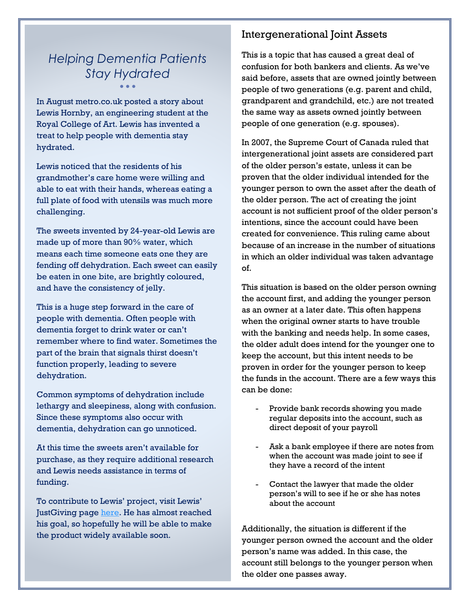# *Helping Dementia Patients Stay Hydrated* • • •

In August metro.co.uk posted a story about Lewis Hornby, an engineering student at the Royal College of Art. Lewis has invented a treat to help people with dementia stay hydrated.

Lewis noticed that the residents of his grandmother's care home were willing and able to eat with their hands, whereas eating a full plate of food with utensils was much more challenging.

The sweets invented by 24-year-old Lewis are made up of more than 90% water, which means each time someone eats one they are fending off dehydration. Each sweet can easily be eaten in one bite, are brightly coloured, and have the consistency of jelly.

This is a huge step forward in the care of people with dementia. Often people with dementia forget to drink water or can't remember where to find water. Sometimes the part of the brain that signals thirst doesn't function properly, leading to severe dehydration.

Common symptoms of dehydration include lethargy and sleepiness, along with confusion. Since these symptoms also occur with dementia, dehydration can go unnoticed.

At this time the sweets aren't available for purchase, as they require additional research and Lewis needs assistance in terms of funding.

To contribute to Lewis' project, visit Lewis' JustGiving page [here.](https://www.justgiving.com/crowdfunding/caron-sprake?utm_source=Facebook&utm_medium=Yimbyprojectpage&utm_content=caron-sprake&utm_campaign=projectpage-share-owner&utm_term=e45p4BB9v) He has almost reached his goal, so hopefully he will be able to make the product widely available soon.

## Intergenerational Joint Assets

This is a topic that has caused a great deal of confusion for both bankers and clients. As we've said before, assets that are owned jointly between people of two generations (e.g. parent and child, grandparent and grandchild, etc.) are not treated the same way as assets owned jointly between people of one generation (e.g. spouses).

In 2007, the Supreme Court of Canada ruled that intergenerational joint assets are considered part of the older person's estate, unless it can be proven that the older individual intended for the younger person to own the asset after the death of the older person. The act of creating the joint account is not sufficient proof of the older person's intentions, since the account could have been created for convenience. This ruling came about because of an increase in the number of situations in which an older individual was taken advantage of.

This situation is based on the older person owning the account first, and adding the younger person as an owner at a later date. This often happens when the original owner starts to have trouble with the banking and needs help. In some cases, the older adult does intend for the younger one to keep the account, but this intent needs to be proven in order for the younger person to keep the funds in the account. There are a few ways this can be done:

- Provide bank records showing you made regular deposits into the account, such as direct deposit of your payroll
- Ask a bank employee if there are notes from when the account was made joint to see if they have a record of the intent
- Contact the lawyer that made the older person's will to see if he or she has notes about the account

Additionally, the situation is different if the younger person owned the account and the older person's name was added. In this case, the account still belongs to the younger person when the older one passes away.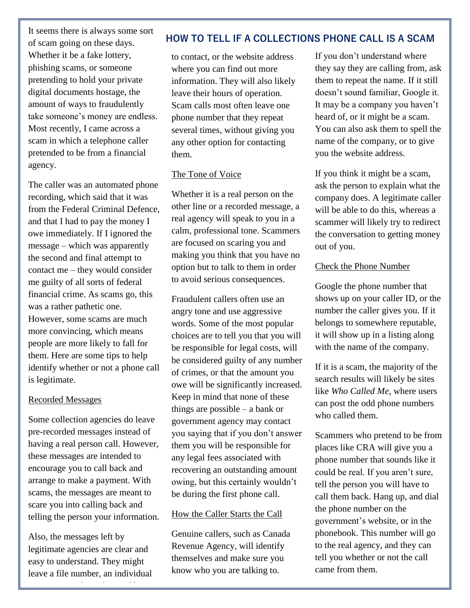It seems there is always some sort of scam going on these days. Whether it be a fake lottery, phishing scams, or someone pretending to hold your private digital documents hostage, the amount of ways to fraudulently take someone's money are endless. Most recently, I came across a scam in which a telephone caller pretended to be from a financial agency.

The caller was an automated phone recording, which said that it was from the Federal Criminal Defence, and that I had to pay the money I owe immediately. If I ignored the message – which was apparently the second and final attempt to contact me – they would consider me guilty of all sorts of federal financial crime. As scams go, this was a rather pathetic one. However, some scams are much more convincing, which means people are more likely to fall for them. Here are some tips to help identify whether or not a phone call is legitimate.

#### Recorded Messages

Some collection agencies do leave pre-recorded messages instead of having a real person call. However, these messages are intended to encourage you to call back and arrange to make a payment. With scams, the messages are meant to scare you into calling back and telling the person your information.

Also, the messages left by legitimate agencies are clear and easy to understand. They might leave a file number, an individual

to contact, or the website additional and a series of the website additional and a series of the website addre

### **HOW TO TELL IF A COLLECTIONS PHONE CALL IS A SCAM**

to contact, or the website address where you can find out more information. They will also likely leave their hours of operation. Scam calls most often leave one phone number that they repeat several times, without giving you any other option for contacting them.

#### The Tone of Voice

Whether it is a real person on the other line or a recorded message, a real agency will speak to you in a calm, professional tone. Scammers are focused on scaring you and making you think that you have no option but to talk to them in order to avoid serious consequences.

Fraudulent callers often use an angry tone and use aggressive words. Some of the most popular choices are to tell you that you will be responsible for legal costs, will be considered guilty of any number of crimes, or that the amount you owe will be significantly increased. Keep in mind that none of these things are possible – a bank or government agency may contact you saying that if you don't answer them you will be responsible for any legal fees associated with recovering an outstanding amount owing, but this certainly wouldn't be during the first phone call.

#### How the Caller Starts the Call

Genuine callers, such as Canada Revenue Agency, will identify themselves and make sure you know who you are talking to.

If you don't understand where they say they are calling from, ask them to repeat the name. If it still doesn't sound familiar, Google it. It may be a company you haven't heard of, or it might be a scam. You can also ask them to spell the name of the company, or to give you the website address.

If you think it might be a scam, ask the person to explain what the company does. A legitimate caller will be able to do this, whereas a scammer will likely try to redirect the conversation to getting money out of you.

#### Check the Phone Number

Google the phone number that shows up on your caller ID, or the number the caller gives you. If it belongs to somewhere reputable, it will show up in a listing along with the name of the company.

If it is a scam, the majority of the search results will likely be sites like *Who Called Me*, where users can post the odd phone numbers who called them.

Scammers who pretend to be from places like CRA will give you a phone number that sounds like it could be real. If you aren't sure, tell the person you will have to call them back. Hang up, and dial the phone number on the government's website, or in the phonebook. This number will go to the real agency, and they can tell you whether or not the call came from them.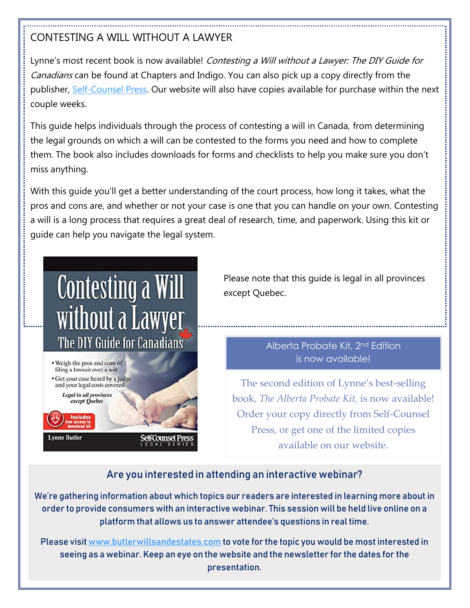# CONTESTING A WILL WITHOUT A LAWYER

Lynne's most recent book is now available! Contesting a Will without a Lawyer: The DIY Guide for Canadians can be found at Chapters and Indigo. You can also pick up a copy directly from the publisher, [Self-Counsel Press.](http://www.self-counsel.com/contesting-a-will-without-a-lawyer.html) Our website will also have copies available for purchase within the next couple weeks.

This guide helps individuals through the process of contesting a will in Canada, from determining the legal grounds on which a will can be contested to the forms you need and how to complete them. The book also includes downloads for forms and checklists to help you make sure you don't miss anything.

With this guide you'll get a better understanding of the court process, how long it takes, what the pros and cons are, and whether or not your case is one that you can handle on your own. Contesting a will is a long process that requires a great deal of research, time, and paperwork. Using this kit or guide can help you navigate the legal system.



Please note that this guide is legal in all provinces except Quebec.

## Alberta Probate Kit, 2nd Edition is now available!

The second edition of Lynne's best-selling book, *The Alberta Probate Kit,* is now available! Order your copy directly from Self-Counsel Press, or get one of the limited copies available on our website.

# Are you interested in attending an interactive webinar?

We're gathering information about which topics our readers are interested in learning more about in order to provide consumers with an interactive webinar. This session will be held live online on a platform that allows us to answer attendee's questions in real time.

Please visi[t www.butlerwillsandestates.com](http://www.butlerwillsandestates.com/) to vote for the topic you would be most interested in seeing as a webinar. Keep an eye on the website and the newsletter for the dates for the presentation.